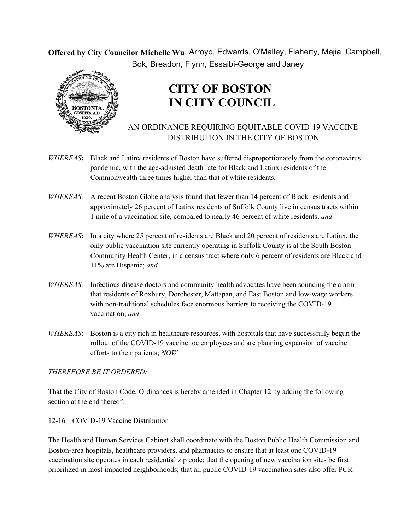**Offered by City Councilor Michelle Wu** , Arroyo, Edwards, O'Malley, Flaherty, Mejia, Campbell, Bok, Breadon, Flynn, Essaibi-George and Janey



## **CITY OF BOSTON IN CITY COUNCIL**

## AN ORDINANCE REQUIRING EQUITABLE COVID-19 VACCINE DISTRIBUTION IN THE CITY OF BOSTON

- *WHEREAS***:** Black and Latinx residents of Boston have suffered disproportionately from the coronavirus pandemic, with the age-adjusted death rate for Black and Latinx residents of the Commonwealth three times higher than that of white residents;
- *WHEREAS:* A recent Boston Globe analysis found that fewer than 14 percent of Black residents and approximately 26 percent of Latinx residents of Suffolk County live in census tracts within 1 mile of a vaccination site, compared to nearly 46 percent of white residents; *and*
- *WHEREAS***:** In a city where 25 percent of residents are Black and 20 percent of residents are Latinx, the only public vaccination site currently operating in Suffolk County is at the South Boston Community Health Center, in a census tract where only 6 percent of residents are Black and 11% are Hispanic; *and*
- *WHEREAS:* Infectious disease doctors and community health advocates have been sounding the alarm that residents of Roxbury, Dorchester, Mattapan, and East Boston and low-wage workers with non-traditional schedules face enormous barriers to receiving the COVID-19 vaccination; *and*
- *WHEREAS*: Boston is a city rich in healthcare resources, with hospitals that have successfully begun the rollout of the COVID-19 vaccine toe employees and are planning expansion of vaccine efforts to their patients; *NOW*

## *THEREFORE BE IT ORDERED:*

That the City of Boston Code, Ordinances is hereby amended in Chapter 12 by adding the following section at the end thereof:

## 12-16 COVID-19 Vaccine Distribution

The Health and Human Services Cabinet shall coordinate with the Boston Public Health Commission and Boston-area hospitals, healthcare providers, and pharmacies to ensure that at least one COVID-19 vaccination site operates in each residential zip code; that the opening of new vaccination sites be first prioritized in most impacted neighborhoods; that all public COVID-19 vaccination sites also offer PCR